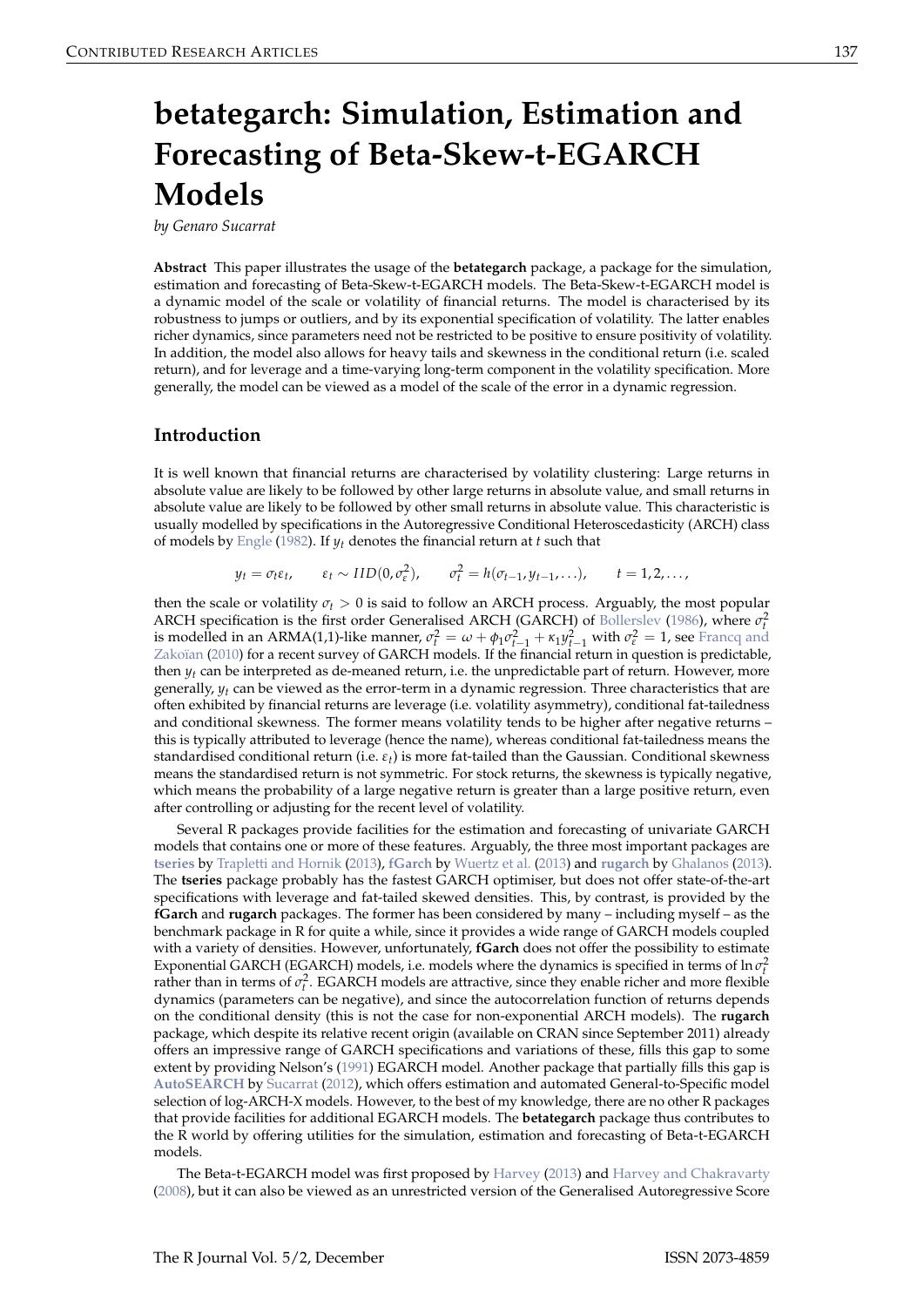# <span id="page-0-0"></span>**betategarch: Simulation, Estimation and Forecasting of Beta-Skew-t-EGARCH Models**

*by Genaro Sucarrat*

**Abstract** This paper illustrates the usage of the **betategarch** package, a package for the simulation, estimation and forecasting of Beta-Skew-t-EGARCH models. The Beta-Skew-t-EGARCH model is a dynamic model of the scale or volatility of financial returns. The model is characterised by its robustness to jumps or outliers, and by its exponential specification of volatility. The latter enables richer dynamics, since parameters need not be restricted to be positive to ensure positivity of volatility. In addition, the model also allows for heavy tails and skewness in the conditional return (i.e. scaled return), and for leverage and a time-varying long-term component in the volatility specification. More generally, the model can be viewed as a model of the scale of the error in a dynamic regression.

## **Introduction**

It is well known that financial returns are characterised by volatility clustering: Large returns in absolute value are likely to be followed by other large returns in absolute value, and small returns in absolute value are likely to be followed by other small returns in absolute value. This characteristic is usually modelled by specifications in the Autoregressive Conditional Heteroscedasticity (ARCH) class of models by [Engle](#page-9-0) [\(1982\)](#page-9-0). If *yt* denotes the financial return at *t* such that

$$
y_t = \sigma_t \varepsilon_t, \qquad \varepsilon_t \sim \text{IID}(0, \sigma_{\varepsilon}^2), \qquad \sigma_t^2 = h(\sigma_{t-1}, y_{t-1}, \ldots), \qquad t = 1, 2, \ldots,
$$

then the scale or volatility *σ<sup>t</sup>* > 0 is said to follow an ARCH process. Arguably, the most popular ARCH specification is the first order Generalised ARCH (GARCH) of [Bollerslev](#page-8-0) [\(1986\)](#page-8-0), where  $\sigma_t^2$ is modelled in an ARMA(1,1)-like manner,  $\sigma_t^2 = \omega + \phi_1 \sigma_{t-1}^2 + \kappa_1 y_{t-1}^2$  with  $\sigma_{\varepsilon}^2 = 1$ , see [Francq and](#page-9-1) [Zakoïan](#page-9-1) [\(2010\)](#page-9-1) for a recent survey of GARCH models. If the financial return in question is predictable, then  $y_t$  can be interpreted as de-meaned return, i.e. the unpredictable part of return. However, more generally, *yt* can be viewed as the error-term in a dynamic regression. Three characteristics that are often exhibited by financial returns are leverage (i.e. volatility asymmetry), conditional fat-tailedness and conditional skewness. The former means volatility tends to be higher after negative returns – this is typically attributed to leverage (hence the name), whereas conditional fat-tailedness means the standardised conditional return (i.e. *εt*) is more fat-tailed than the Gaussian. Conditional skewness means the standardised return is not symmetric. For stock returns, the skewness is typically negative, which means the probability of a large negative return is greater than a large positive return, even after controlling or adjusting for the recent level of volatility.

Several R packages provide facilities for the estimation and forecasting of univariate GARCH models that contains one or more of these features. Arguably, the three most important packages are **[tseries](http://CRAN.R-project.org/package=tseries)** by [Trapletti and Hornik](#page-10-0) [\(2013\)](#page-10-0), **[fGarch](http://CRAN.R-project.org/package=fGarch)** by [Wuertz et al.](#page-10-1) [\(2013\)](#page-10-1) and **[rugarch](http://CRAN.R-project.org/package=rugarch)** by [Ghalanos](#page-9-2) [\(2013\)](#page-9-2). The **tseries** package probably has the fastest GARCH optimiser, but does not offer state-of-the-art specifications with leverage and fat-tailed skewed densities. This, by contrast, is provided by the **fGarch** and **rugarch** packages. The former has been considered by many – including myself – as the benchmark package in R for quite a while, since it provides a wide range of GARCH models coupled with a variety of densities. However, unfortunately, **fGarch** does not offer the possibility to estimate Exponential GARCH (EGARCH) models, i.e. models where the dynamics is specified in terms of ln  $\sigma_t^2$ rather than in terms of  $\sigma_t^2$ . EGARCH models are attractive, since they enable richer and more flexible dynamics (parameters can be negative), and since the autocorrelation function of returns depends on the conditional density (this is not the case for non-exponential ARCH models). The **rugarch** package, which despite its relative recent origin (available on CRAN since September 2011) already offers an impressive range of GARCH specifications and variations of these, fills this gap to some extent by providing Nelson's [\(1991\)](#page-10-2) EGARCH model. Another package that partially fills this gap is **[AutoSEARCH](http://CRAN.R-project.org/package=AutoSEARCH)** by [Sucarrat](#page-10-3) [\(2012\)](#page-10-3), which offers estimation and automated General-to-Specific model selection of log-ARCH-X models. However, to the best of my knowledge, there are no other R packages that provide facilities for additional EGARCH models. The **betategarch** package thus contributes to the R world by offering utilities for the simulation, estimation and forecasting of Beta-t-EGARCH models.

The Beta-t-EGARCH model was first proposed by [Harvey](#page-9-3) [\(2013\)](#page-9-3) and [Harvey and Chakravarty](#page-10-4) [\(2008\)](#page-10-4), but it can also be viewed as an unrestricted version of the Generalised Autoregressive Score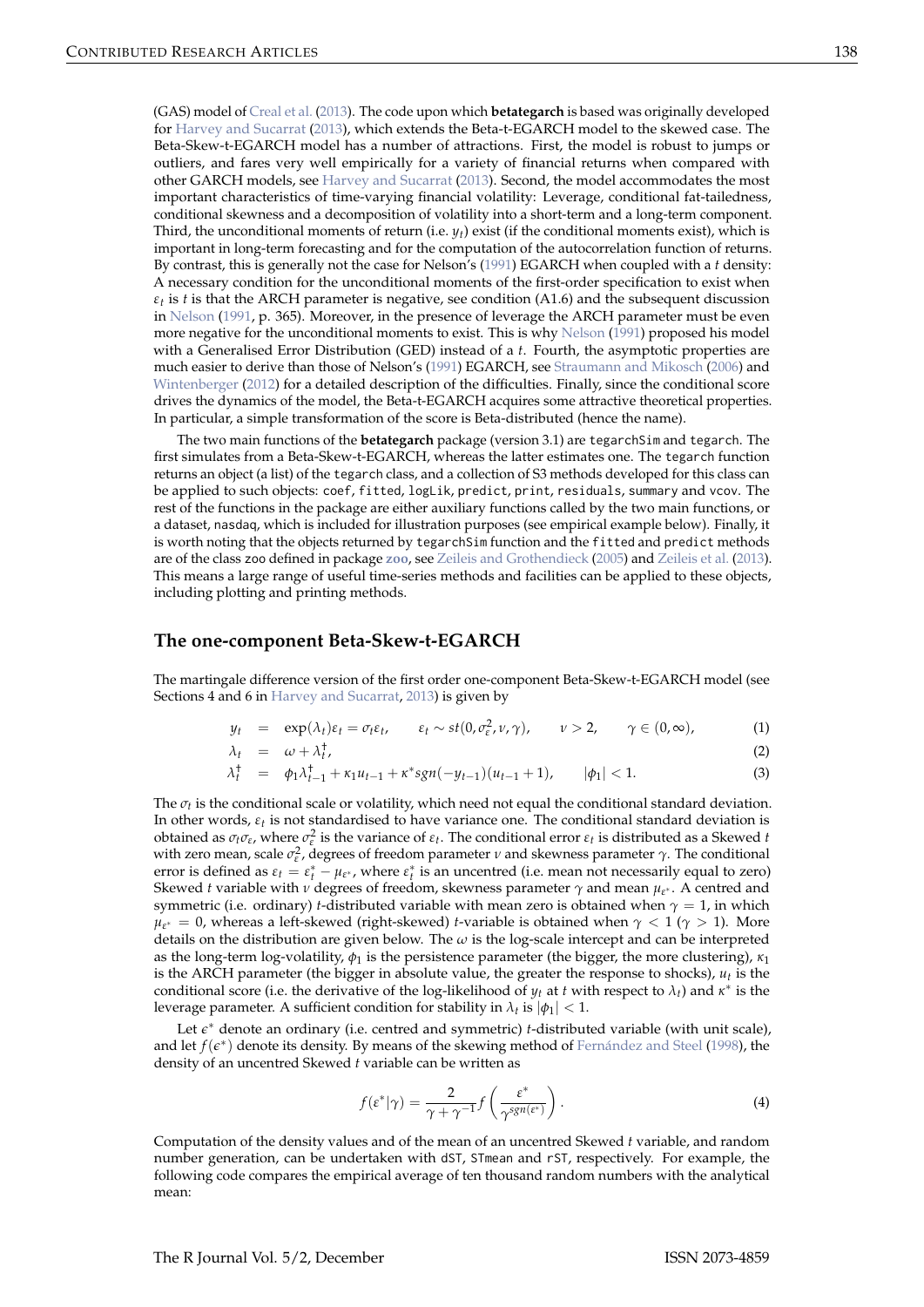<span id="page-1-2"></span>(GAS) model of [Creal et al.](#page-8-1) [\(2013\)](#page-8-1). The code upon which **betategarch** is based was originally developed for [Harvey and Sucarrat](#page-10-5) [\(2013\)](#page-10-5), which extends the Beta-t-EGARCH model to the skewed case. The Beta-Skew-t-EGARCH model has a number of attractions. First, the model is robust to jumps or outliers, and fares very well empirically for a variety of financial returns when compared with other GARCH models, see [Harvey and Sucarrat](#page-10-5) [\(2013\)](#page-10-5). Second, the model accommodates the most important characteristics of time-varying financial volatility: Leverage, conditional fat-tailedness, conditional skewness and a decomposition of volatility into a short-term and a long-term component. Third, the unconditional moments of return (i.e. *yt*) exist (if the conditional moments exist), which is important in long-term forecasting and for the computation of the autocorrelation function of returns. By contrast, this is generally not the case for Nelson's [\(1991\)](#page-10-2) EGARCH when coupled with a *t* density: A necessary condition for the unconditional moments of the first-order specification to exist when  $\varepsilon_t$  is *t* is that the ARCH parameter is negative, see condition (A1.6) and the subsequent discussion in [Nelson](#page-10-2) [\(1991,](#page-10-2) p. 365). Moreover, in the presence of leverage the ARCH parameter must be even more negative for the unconditional moments to exist. This is why [Nelson](#page-10-2) [\(1991\)](#page-10-2) proposed his model with a Generalised Error Distribution (GED) instead of a *t*. Fourth, the asymptotic properties are much easier to derive than those of Nelson's [\(1991\)](#page-10-2) EGARCH, see [Straumann and Mikosch](#page-10-6) [\(2006\)](#page-10-6) and [Wintenberger](#page-10-7) [\(2012\)](#page-10-7) for a detailed description of the difficulties. Finally, since the conditional score drives the dynamics of the model, the Beta-t-EGARCH acquires some attractive theoretical properties. In particular, a simple transformation of the score is Beta-distributed (hence the name).

The two main functions of the **betategarch** package (version 3.1) are tegarchSim and tegarch. The first simulates from a Beta-Skew-t-EGARCH, whereas the latter estimates one. The tegarch function returns an object (a list) of the tegarch class, and a collection of S3 methods developed for this class can be applied to such objects: coef, fitted, logLik, predict, print, residuals, summary and vcov. The rest of the functions in the package are either auxiliary functions called by the two main functions, or a dataset, nasdaq, which is included for illustration purposes (see empirical example below). Finally, it is worth noting that the objects returned by tegarchSim function and the fitted and predict methods are of the class zoo defined in package **[zoo](http://CRAN.R-project.org/package=zoo)**, see [Zeileis and Grothendieck](#page-10-8) [\(2005\)](#page-10-8) and [Zeileis et al.](#page-10-9) [\(2013\)](#page-10-9). This means a large range of useful time-series methods and facilities can be applied to these objects, including plotting and printing methods.

### **The one-component Beta-Skew-t-EGARCH**

The martingale difference version of the first order one-component Beta-Skew-t-EGARCH model (see Sections 4 and 6 in [Harvey and Sucarrat,](#page-10-5) [2013\)](#page-10-5) is given by

<span id="page-1-0"></span>
$$
y_t = \exp(\lambda_t)\varepsilon_t = \sigma_t\varepsilon_t, \qquad \varepsilon_t \sim st(0, \sigma_{\varepsilon}^2, \nu, \gamma), \qquad \nu > 2, \qquad \gamma \in (0, \infty), \tag{1}
$$

$$
\lambda_t = \omega + \lambda_t^{\dagger}, \tag{2}
$$

$$
\lambda_t^{\dagger} = \phi_1 \lambda_{t-1}^{\dagger} + \kappa_1 u_{t-1} + \kappa^* sgn(-y_{t-1})(u_{t-1} + 1), \qquad |\phi_1| < 1. \tag{3}
$$

The *σt* is the conditional scale or volatility, which need not equal the conditional standard deviation. In other words,  $\varepsilon_t$  is not standardised to have variance one. The conditional standard deviation is obtained as  $\sigma_t \sigma_\varepsilon$ , where  $\sigma_\varepsilon^2$  is the variance of  $\varepsilon_t$ . The conditional error  $\varepsilon_t$  is distributed as a Skewed *t* with zero mean, scale  $\sigma_{\varepsilon}^2$ , degrees of freedom parameter *ν* and skewness parameter *γ*. The conditional error is defined as  $\varepsilon_t = \varepsilon_t^* - \mu_{\varepsilon^*}$ , where  $\varepsilon_t^*$  is an uncentred (i.e. mean not necessarily equal to zero) Skewed *t* variable with *ν* degrees of freedom, skewness parameter *γ* and mean *µ<sup>ε</sup>* <sup>∗</sup> . A centred and symmetric (i.e. ordinary) *t*-distributed variable with mean zero is obtained when  $\gamma = 1$ , in which  $\mu_{\varepsilon^*} = 0$ , whereas a left-skewed (right-skewed) *t*-variable is obtained when  $\gamma < 1$  ( $\gamma > 1$ ). More details on the distribution are given below. The *ω* is the log-scale intercept and can be interpreted as the long-term log-volatility,  $\phi_1$  is the persistence parameter (the bigger, the more clustering),  $\kappa_1$ is the ARCH parameter (the bigger in absolute value, the greater the response to shocks),  $u_t$  is the conditional score (i.e. the derivative of the log-likelihood of  $y_t$  at *t* with respect to  $\lambda_t$ ) and  $\kappa^*$  is the leverage parameter. A sufficient condition for stability in  $\lambda_t$  is  $|\phi_1| < 1$ .

Let  $\epsilon^*$  denote an ordinary (i.e. centred and symmetric) *t*-distributed variable (with unit scale), and let *f*( $\epsilon$ <sup>\*</sup>) denote its density. By means of the skewing method of [Fernández and Steel](#page-9-4) [\(1998\)](#page-9-4), the density of an uncentred Skewed *t* variable can be written as

<span id="page-1-1"></span>
$$
f(\varepsilon^*|\gamma) = \frac{2}{\gamma + \gamma^{-1}} f\left(\frac{\varepsilon^*}{\gamma^{sgn(\varepsilon^*)}}\right).
$$
 (4)

Computation of the density values and of the mean of an uncentred Skewed *t* variable, and random number generation, can be undertaken with dST, STmean and rST, respectively. For example, the following code compares the empirical average of ten thousand random numbers with the analytical mean: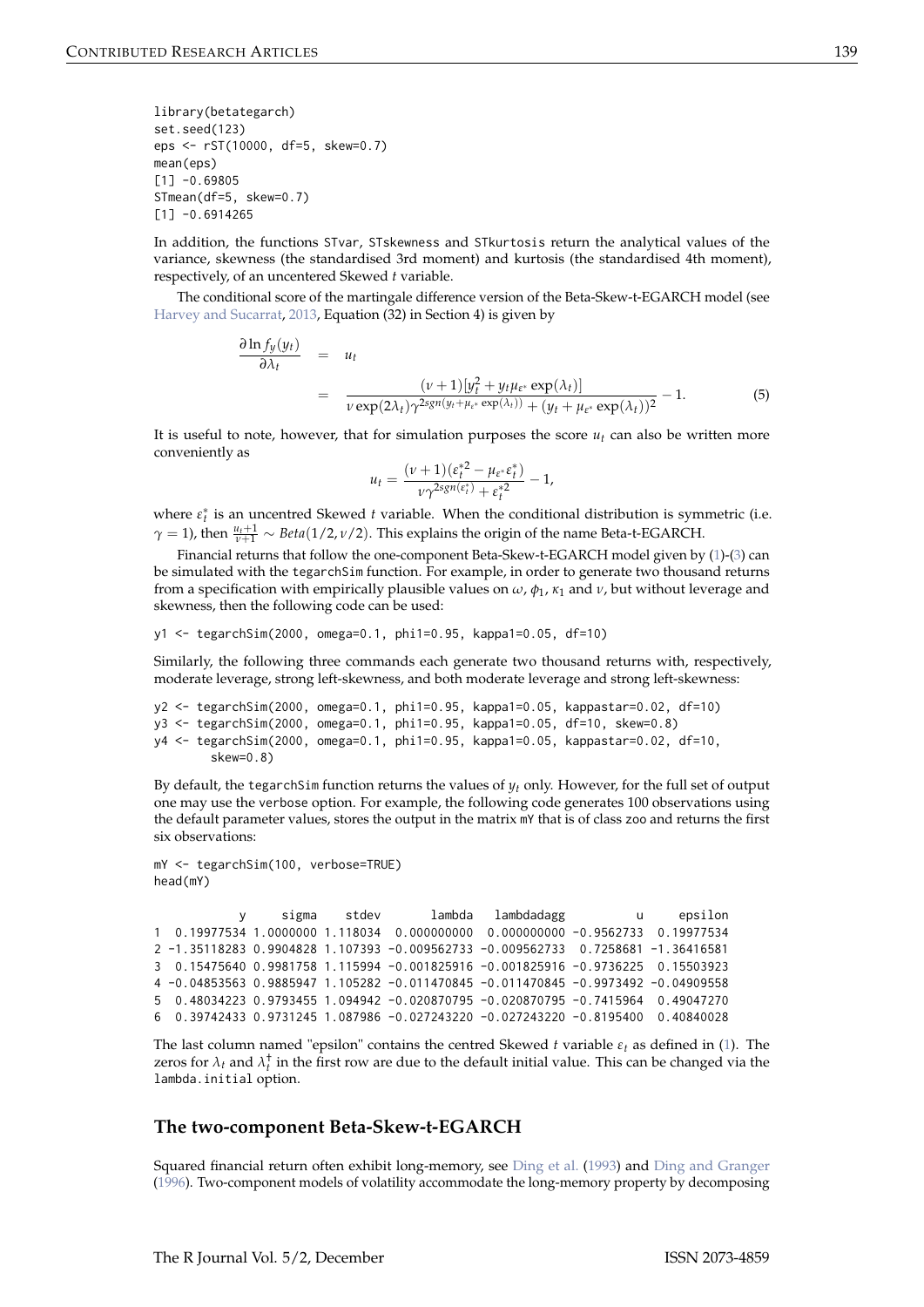<span id="page-2-1"></span>library(betategarch) set.seed(123) eps <- rST(10000, df=5, skew=0.7) mean(eps)  $[1] -0.69805$ STmean(df=5, skew=0.7)  $[1] -0.6914265$ 

In addition, the functions STvar, STskewness and STkurtosis return the analytical values of the variance, skewness (the standardised 3rd moment) and kurtosis (the standardised 4th moment), respectively, of an uncentered Skewed *t* variable.

The conditional score of the martingale difference version of the Beta-Skew-t-EGARCH model (see [Harvey and Sucarrat,](#page-10-5) [2013,](#page-10-5) Equation (32) in Section 4) is given by

<span id="page-2-0"></span>
$$
\frac{\partial \ln f_y(y_t)}{\partial \lambda_t} = u_t
$$
\n
$$
= \frac{(\nu+1)[y_t^2 + y_t \mu_{\varepsilon^*} \exp(\lambda_t)]}{\nu \exp(2\lambda_t) \gamma^{2sgn(y_t + \mu_{\varepsilon^*} \exp(\lambda_t))} + (y_t + \mu_{\varepsilon^*} \exp(\lambda_t))^2} - 1.
$$
\n(5)

It is useful to note, however, that for simulation purposes the score  $u_t$  can also be written more conveniently as

$$
u_t = \frac{(\nu + 1)(\varepsilon_t^{*2} - \mu_{\varepsilon^*} \varepsilon_t^*)}{\nu \gamma^{2sgn(\varepsilon_t^*)} + \varepsilon_t^{*2}} - 1,
$$

where  $\varepsilon_t^*$  is an uncentred Skewed *t* variable. When the conditional distribution is symmetric (i.e.  $\gamma = 1$ ), then  $\frac{u_t+1}{v+1} \sim Beta(1/2, v/2)$ . This explains the origin of the name Beta-t-EGARCH.

Financial returns that follow the one-component Beta-Skew-t-EGARCH model given by [\(1\)](#page-1-0)-[\(3\)](#page-1-0) can be simulated with the tegarchSim function. For example, in order to generate two thousand returns from a specification with empirically plausible values on *ω*, *φ*<sup>1</sup> , *κ*<sup>1</sup> and *ν*, but without leverage and skewness, then the following code can be used:

y1 <- tegarchSim(2000, omega=0.1, phi1=0.95, kappa1=0.05, df=10)

Similarly, the following three commands each generate two thousand returns with, respectively, moderate leverage, strong left-skewness, and both moderate leverage and strong left-skewness:

```
y2 <- tegarchSim(2000, omega=0.1, phi1=0.95, kappa1=0.05, kappastar=0.02, df=10)
y3 <- tegarchSim(2000, omega=0.1, phi1=0.95, kappa1=0.05, df=10, skew=0.8)
y4 <- tegarchSim(2000, omega=0.1, phi1=0.95, kappa1=0.05, kappastar=0.02, df=10,
       skew=0.8)
```
By default, the tegarchSim function returns the values of *y<sup>t</sup>* only. However, for the full set of output one may use the verbose option. For example, the following code generates 100 observations using the default parameter values, stores the output in the matrix mY that is of class zoo and returns the first six observations:

```
mY <- tegarchSim(100, verbose=TRUE)
head(mY)
```
y sigma stdev lambda lambdadagg u epsilon 1 0.19977534 1.0000000 1.118034 0.000000000 0.000000000 -0.9562733 0.19977534 2 -1.35118283 0.9904828 1.107393 -0.009562733 -0.009562733 0.7258681 -1.36416581 3 0.15475640 0.9981758 1.115994 -0.001825916 -0.001825916 -0.9736225 0.15503923 4 -0.04853563 0.9885947 1.105282 -0.011470845 -0.011470845 -0.9973492 -0.04909558 5 0.48034223 0.9793455 1.094942 -0.020870795 -0.020870795 -0.7415964 0.49047270 6 0.39742433 0.9731245 1.087986 -0.027243220 -0.027243220 -0.8195400 0.40840028

The last column named "epsilon" contains the centred Skewed *t* variable  $\varepsilon_t$  as defined in [\(1\)](#page-1-0). The zeros for  $\lambda_t$  and  $\lambda_t^{\dagger}$  in the first row are due to the default initial value. This can be changed via the lambda.initial option.

## **The two-component Beta-Skew-t-EGARCH**

Squared financial return often exhibit long-memory, see [Ding et al.](#page-9-5) [\(1993\)](#page-9-5) and [Ding and Granger](#page-9-6) [\(1996\)](#page-9-6). Two-component models of volatility accommodate the long-memory property by decomposing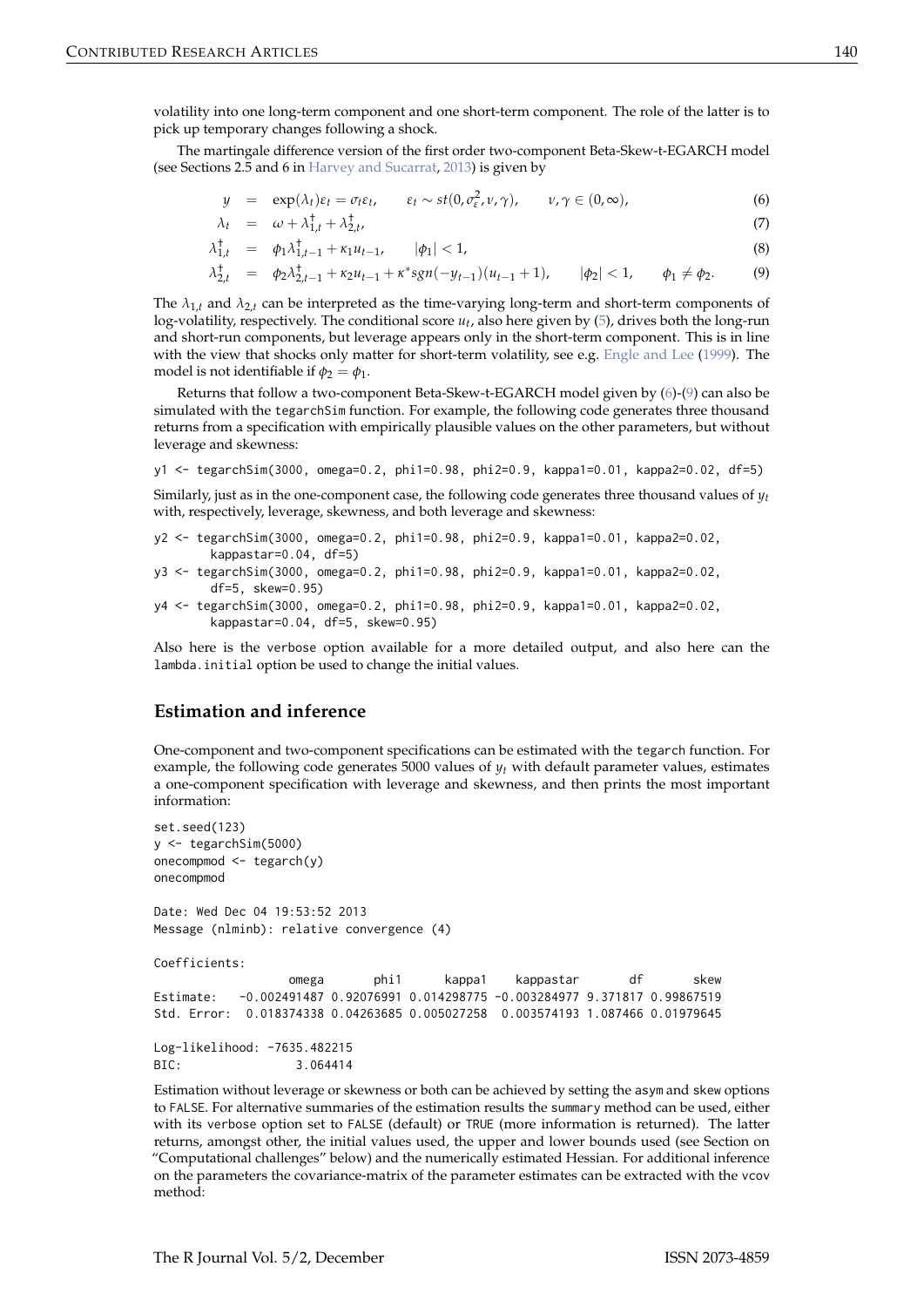<span id="page-3-1"></span>volatility into one long-term component and one short-term component. The role of the latter is to pick up temporary changes following a shock.

The martingale difference version of the first order two-component Beta-Skew-t-EGARCH model (see Sections 2.5 and 6 in [Harvey and Sucarrat,](#page-10-5) [2013\)](#page-10-5) is given by

<span id="page-3-0"></span>
$$
y = \exp(\lambda_t)\varepsilon_t = \sigma_t\varepsilon_t, \qquad \varepsilon_t \sim st(0, \sigma_{\varepsilon}^2, \nu, \gamma), \qquad \nu, \gamma \in (0, \infty), \tag{6}
$$

$$
\lambda_t = \omega + \lambda_{1,t}^{\dagger} + \lambda_{2,t}^{\dagger}, \tag{7}
$$

$$
\lambda_{1,t}^{\dagger} = \phi_1 \lambda_{1,t-1}^{\dagger} + \kappa_1 u_{t-1}, \qquad |\phi_1| < 1,\tag{8}
$$

$$
\lambda_{2,t}^{\dagger} = \phi_2 \lambda_{2,t-1}^{\dagger} + \kappa_2 u_{t-1} + \kappa^* sgn(-y_{t-1})(u_{t-1}+1), \qquad |\phi_2| < 1, \qquad \phi_1 \neq \phi_2. \tag{9}
$$

The  $\lambda_{1,t}$  and  $\lambda_{2,t}$  can be interpreted as the time-varying long-term and short-term components of log-volatility, respectively. The conditional score *ut* , also here given by [\(5\)](#page-2-0), drives both the long-run and short-run components, but leverage appears only in the short-term component. This is in line with the view that shocks only matter for short-term volatility, see e.g. [Engle and Lee](#page-9-7) [\(1999\)](#page-9-7). The model is not identifiable if  $\phi_2 = \phi_1$ .

Returns that follow a two-component Beta-Skew-t-EGARCH model given by [\(6\)](#page-3-0)-[\(9\)](#page-3-0) can also be simulated with the tegarchSim function. For example, the following code generates three thousand returns from a specification with empirically plausible values on the other parameters, but without leverage and skewness:

```
y1 <- tegarchSim(3000, omega=0.2, phi1=0.98, phi2=0.9, kappa1=0.01, kappa2=0.02, df=5)
```
Similarly, just as in the one-component case, the following code generates three thousand values of  $y_t$ with, respectively, leverage, skewness, and both leverage and skewness:

```
y2 <- tegarchSim(3000, omega=0.2, phi1=0.98, phi2=0.9, kappa1=0.01, kappa2=0.02,
       kappastar=0.04, df=5)
```

```
y3 <- tegarchSim(3000, omega=0.2, phi1=0.98, phi2=0.9, kappa1=0.01, kappa2=0.02,
       df=5, skew=0.95)
```

```
y4 <- tegarchSim(3000, omega=0.2, phi1=0.98, phi2=0.9, kappa1=0.01, kappa2=0.02,
       kappastar=0.04, df=5, skew=0.95)
```
Also here is the verbose option available for a more detailed output, and also here can the lambda.initial option be used to change the initial values.

# **Estimation and inference**

One-component and two-component specifications can be estimated with the tegarch function. For example, the following code generates 5000 values of *yt* with default parameter values, estimates a one-component specification with leverage and skewness, and then prints the most important information:

```
set.seed(123)
y <- tegarchSim(5000)
onecompmod <- tegarch(y)
onecompmod
Date: Wed Dec 04 19:53:52 2013
Message (nlminb): relative convergence (4)
Coefficients:
                 omega phi1 kappa1 kappastar df skew
Estimate: -0.002491487 0.92076991 0.014298775 -0.003284977 9.371817 0.99867519
Std. Error: 0.018374338 0.04263685 0.005027258 0.003574193 1.087466 0.01979645
Log-likelihood: -7635.482215
BIC: 3.064414
```
Estimation without leverage or skewness or both can be achieved by setting the asym and skew options to FALSE. For alternative summaries of the estimation results the summary method can be used, either with its verbose option set to FALSE (default) or TRUE (more information is returned). The latter returns, amongst other, the initial values used, the upper and lower bounds used (see Section on "Computational challenges" below) and the numerically estimated Hessian. For additional inference on the parameters the covariance-matrix of the parameter estimates can be extracted with the vcov method: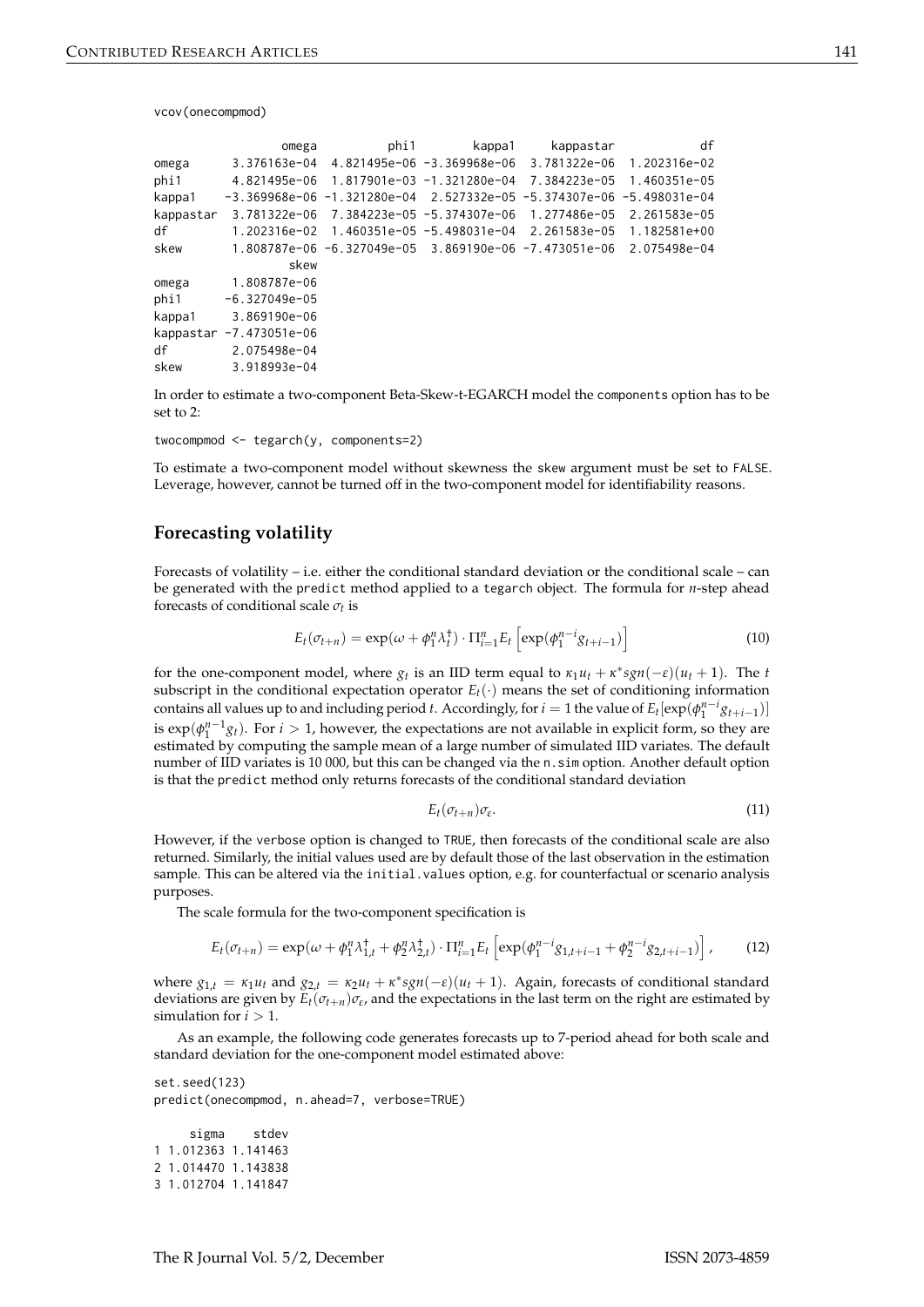vcov(onecompmod)

|           | omega                   | phi1                       | kappa1                     | kappastar                                                                      | df                        |
|-----------|-------------------------|----------------------------|----------------------------|--------------------------------------------------------------------------------|---------------------------|
| omega     | $3.376163e-04$          |                            | 4.821495e-06 -3.369968e-06 |                                                                                | 3.781322e-06 1.202316e-02 |
| phi1      | 4.821495e-06            |                            |                            | 1.817901e−03 −1.321280e−04 7.384223e−05 1.460351e−05                           |                           |
| kappa1    |                         |                            |                            | $-3.369968e-06$ $-1.321280e-04$ $2.527332e-05$ $-5.374307e-06$ $-5.498031e-04$ |                           |
| kappastar | 3.781322e-06            |                            |                            | 7.384223e-05 -5.374307e-06 1.277486e-05                                        | 2.261583e-05              |
| df        | 1.202316e-02            | 1.460351e-05 -5.498031e-04 |                            |                                                                                | 2.261583e-05 1.182581e+00 |
| skew      |                         |                            |                            | 1.808787e-06 -6.327049e-05 3.869190e-06 -7.473051e-06 2.075498e-04             |                           |
|           | skew                    |                            |                            |                                                                                |                           |
| omega     | 1.808787e-06            |                            |                            |                                                                                |                           |
| phi1      | $-6.327049e-05$         |                            |                            |                                                                                |                           |
| kappa1    | 3.869190e-06            |                            |                            |                                                                                |                           |
|           | kappastar -7.473051e-06 |                            |                            |                                                                                |                           |
| df        | 2.075498e-04            |                            |                            |                                                                                |                           |
| skew      | 3.918993e-04            |                            |                            |                                                                                |                           |
|           |                         |                            |                            |                                                                                |                           |

In order to estimate a two-component Beta-Skew-t-EGARCH model the components option has to be set to 2:

twocompmod <- tegarch(y, components=2)

To estimate a two-component model without skewness the skew argument must be set to FALSE. Leverage, however, cannot be turned off in the two-component model for identifiability reasons.

# **Forecasting volatility**

Forecasts of volatility – i.e. either the conditional standard deviation or the conditional scale – can be generated with the predict method applied to a tegarch object. The formula for *n*-step ahead forecasts of conditional scale *σt* is

$$
E_t(\sigma_{t+n}) = \exp(\omega + \phi_1^n \lambda_t^+) \cdot \Pi_{i=1}^n E_t \left[ \exp(\phi_1^{n-i} g_{t+i-1}) \right]
$$
 (10)

for the one-component model, where  $g_t$  is an IID term equal to  $\kappa_1 u_t + \kappa^* sgn(-\varepsilon)(u_t + 1)$ . The *t* subscript in the conditional expectation operator  $E_t(\cdot)$  means the set of conditioning information contains all values up to and including period *t*. Accordingly, for  $i = 1$  the value of  $E_t[exp(\phi_1^{n-i}g_{t+i-1})]$ is  $exp(\phi_1^{n-1}g_t)$ . For *i* > 1, however, the expectations are not available in explicit form, so they are estimated by computing the sample mean of a large number of simulated IID variates. The default number of IID variates is 10 000, but this can be changed via the n.sim option. Another default option is that the predict method only returns forecasts of the conditional standard deviation

$$
E_t(\sigma_{t+n})\sigma_{\varepsilon}.\tag{11}
$$

However, if the verbose option is changed to TRUE, then forecasts of the conditional scale are also returned. Similarly, the initial values used are by default those of the last observation in the estimation sample. This can be altered via the initial.values option, e.g. for counterfactual or scenario analysis purposes.

The scale formula for the two-component specification is

$$
E_t(\sigma_{t+n}) = \exp(\omega + \phi_1^n \lambda_{1,t}^{\dagger} + \phi_2^n \lambda_{2,t}^{\dagger}) \cdot \Pi_{i=1}^n E_t \left[ \exp(\phi_1^{n-i} g_{1,t+i-1} + \phi_2^{n-i} g_{2,t+i-1}) \right],
$$
 (12)

where  $g_{1,t} = \kappa_1 u_t$  and  $g_{2,t} = \kappa_2 u_t + \kappa^* sgn(-\varepsilon)(u_t + 1)$ . Again, forecasts of conditional standard deviations are given by  $E_t(\sigma_{t+n})\sigma_{\varepsilon}$ , and the expectations in the last term on the right are estimated by simulation for  $i > 1$ .

As an example, the following code generates forecasts up to 7-period ahead for both scale and standard deviation for the one-component model estimated above:

```
set.seed(123)
predict(onecompmod, n.ahead=7, verbose=TRUE)
```

```
sigma stdev
1 1.012363 1.141463
2 1.014470 1.143838
3 1.012704 1.141847
```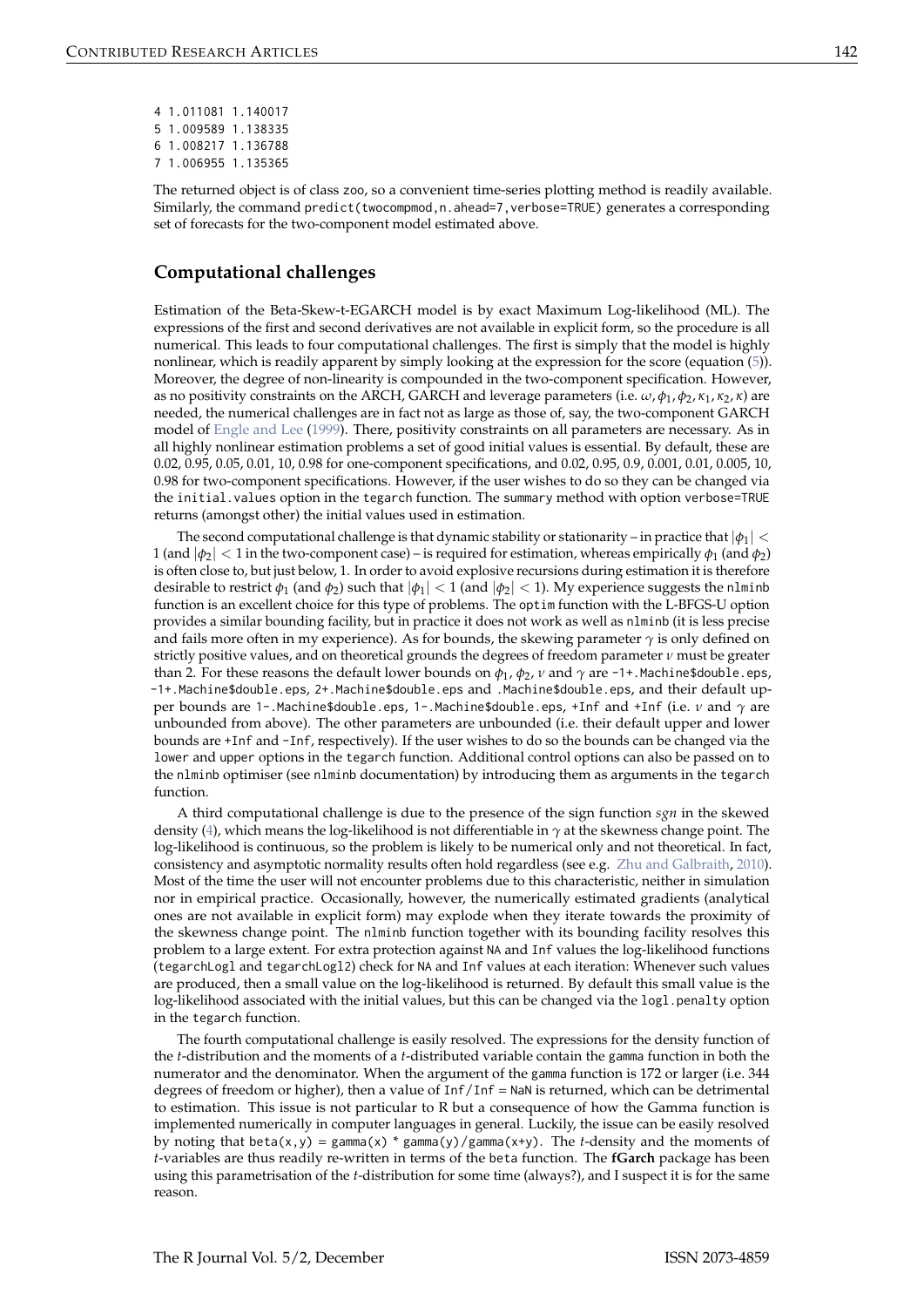<span id="page-5-0"></span>

| 4 1.011081 1.140017 |  |
|---------------------|--|
| 5 1.009589 1.138335 |  |
| 6 1.008217 1.136788 |  |
| 7 1.006955 1.135365 |  |

The returned object is of class zoo, so a convenient time-series plotting method is readily available. Similarly, the command predict(twocompmod,n.ahead=7,verbose=TRUE) generates a corresponding set of forecasts for the two-component model estimated above.

# **Computational challenges**

Estimation of the Beta-Skew-t-EGARCH model is by exact Maximum Log-likelihood (ML). The expressions of the first and second derivatives are not available in explicit form, so the procedure is all numerical. This leads to four computational challenges. The first is simply that the model is highly nonlinear, which is readily apparent by simply looking at the expression for the score (equation [\(5\)](#page-2-0)). Moreover, the degree of non-linearity is compounded in the two-component specification. However, as no positivity constraints on the ARCH, GARCH and leverage parameters (i.e. *ω*, *φ*<sup>1</sup> , *φ*2, *κ*<sup>1</sup> , *κ*2, *κ*) are needed, the numerical challenges are in fact not as large as those of, say, the two-component GARCH model of [Engle and Lee](#page-9-7) [\(1999\)](#page-9-7). There, positivity constraints on all parameters are necessary. As in all highly nonlinear estimation problems a set of good initial values is essential. By default, these are 0.02, 0.95, 0.05, 0.01, 10, 0.98 for one-component specifications, and 0.02, 0.95, 0.9, 0.001, 0.01, 0.005, 10, 0.98 for two-component specifications. However, if the user wishes to do so they can be changed via the initial.values option in the tegarch function. The summary method with option verbose=TRUE returns (amongst other) the initial values used in estimation.

The second computational challenge is that dynamic stability or stationarity – in practice that  $|\phi_1| <$  $1$  (and  $|\phi_2| < 1$  in the two-component case) – is required for estimation, whereas empirically  $\phi_1$  (and  $\phi_2$ ) is often close to, but just below, 1. In order to avoid explosive recursions during estimation it is therefore desirable to restrict  $\phi_1$  (and  $\phi_2$ ) such that  $|\phi_1| < 1$  (and  $|\phi_2| < 1$ ). My experience suggests the n1minb function is an excellent choice for this type of problems. The optim function with the L-BFGS-U option provides a similar bounding facility, but in practice it does not work as well as nlminb (it is less precise and fails more often in my experience). As for bounds, the skewing parameter  $\gamma$  is only defined on strictly positive values, and on theoretical grounds the degrees of freedom parameter *ν* must be greater than 2. For these reasons the default lower bounds on *φ*<sup>1</sup> , *φ*2, *ν* and *γ* are -1+.Machine\$double.eps, -1+.Machine\$double.eps, 2+.Machine\$double.eps and .Machine\$double.eps, and their default upper bounds are 1-.Machine\$double.eps, 1-.Machine\$double.eps, +Inf and +Inf (i.e. *ν* and *γ* are unbounded from above). The other parameters are unbounded (i.e. their default upper and lower bounds are +Inf and -Inf, respectively). If the user wishes to do so the bounds can be changed via the lower and upper options in the tegarch function. Additional control options can also be passed on to the nlminb optimiser (see nlminb documentation) by introducing them as arguments in the tegarch function.

A third computational challenge is due to the presence of the sign function *sgn* in the skewed density [\(4\)](#page-1-1), which means the log-likelihood is not differentiable in *γ* at the skewness change point. The log-likelihood is continuous, so the problem is likely to be numerical only and not theoretical. In fact, consistency and asymptotic normality results often hold regardless (see e.g. [Zhu and Galbraith,](#page-10-10) [2010\)](#page-10-10). Most of the time the user will not encounter problems due to this characteristic, neither in simulation nor in empirical practice. Occasionally, however, the numerically estimated gradients (analytical ones are not available in explicit form) may explode when they iterate towards the proximity of the skewness change point. The nlminb function together with its bounding facility resolves this problem to a large extent. For extra protection against NA and Inf values the log-likelihood functions (tegarchLogl and tegarchLogl2) check for NA and Inf values at each iteration: Whenever such values are produced, then a small value on the log-likelihood is returned. By default this small value is the log-likelihood associated with the initial values, but this can be changed via the logl.penalty option in the tegarch function.

The fourth computational challenge is easily resolved. The expressions for the density function of the *t*-distribution and the moments of a *t*-distributed variable contain the gamma function in both the numerator and the denominator. When the argument of the gamma function is 172 or larger (i.e. 344 degrees of freedom or higher), then a value of Inf/Inf = NaN is returned, which can be detrimental to estimation. This issue is not particular to R but a consequence of how the Gamma function is implemented numerically in computer languages in general. Luckily, the issue can be easily resolved by noting that beta(x,y) = gamma(x) \* gamma(y)/gamma(x+y). The *t*-density and the moments of *t*-variables are thus readily re-written in terms of the beta function. The **fGarch** package has been using this parametrisation of the *t*-distribution for some time (always?), and I suspect it is for the same reason.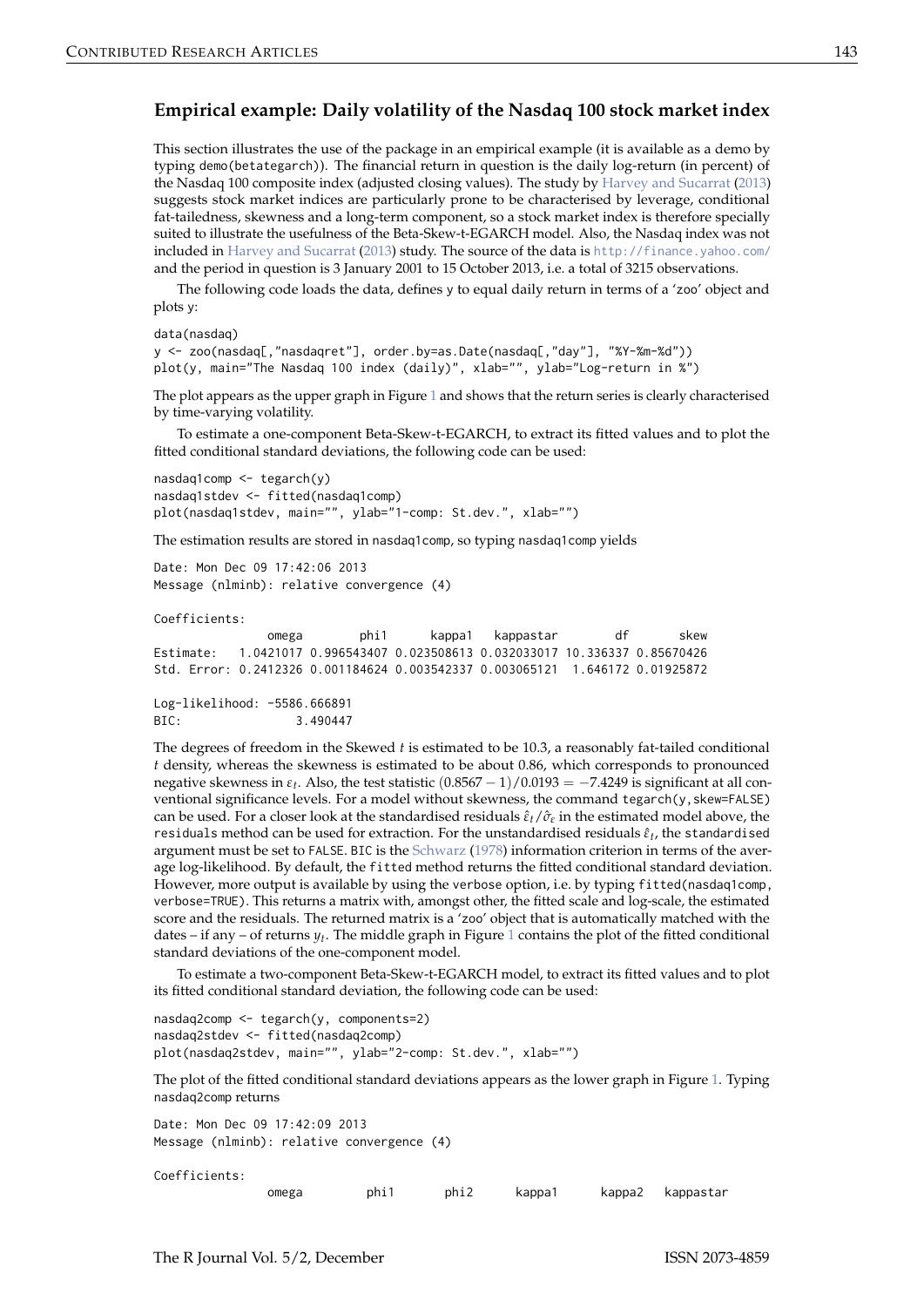# <span id="page-6-0"></span>**Empirical example: Daily volatility of the Nasdaq 100 stock market index**

This section illustrates the use of the package in an empirical example (it is available as a demo by typing demo(betategarch)). The financial return in question is the daily log-return (in percent) of the Nasdaq 100 composite index (adjusted closing values). The study by [Harvey and Sucarrat](#page-10-5) [\(2013\)](#page-10-5) suggests stock market indices are particularly prone to be characterised by leverage, conditional fat-tailedness, skewness and a long-term component, so a stock market index is therefore specially suited to illustrate the usefulness of the Beta-Skew-t-EGARCH model. Also, the Nasdaq index was not included in [Harvey and Sucarrat](#page-10-5) [\(2013\)](#page-10-5) study. The source of the data is <http://finance.yahoo.com/> and the period in question is 3 January 2001 to 15 October 2013, i.e. a total of 3215 observations.

The following code loads the data, defines y to equal daily return in terms of a 'zoo' object and plots y:

```
data(nasdaq)
```

```
y <- zoo(nasdaq[,"nasdaqret"], order.by=as.Date(nasdaq[,"day"], "%Y-%m-%d"))
plot(y, main="The Nasdaq 100 index (daily)", xlab="", ylab="Log-return in %")
```
The plot appears as the upper graph in Figure [1](#page-9-8) and shows that the return series is clearly characterised by time-varying volatility.

To estimate a one-component Beta-Skew-t-EGARCH, to extract its fitted values and to plot the fitted conditional standard deviations, the following code can be used:

```
nasdaq1comp <- tegarch(y)
nasdaq1stdev <- fitted(nasdaq1comp)
plot(nasdaq1stdev, main="", ylab="1-comp: St.dev.", xlab="")
```
The estimation results are stored in nasdaq1comp, so typing nasdaq1comp yields

```
Date: Mon Dec 09 17:42:06 2013
Message (nlminb): relative convergence (4)
```
Coefficients:

omega phi1 kappa1 kappastar df skew Estimate: 1.0421017 0.996543407 0.023508613 0.032033017 10.336337 0.85670426 Std. Error: 0.2412326 0.001184624 0.003542337 0.003065121 1.646172 0.01925872

```
Log-likelihood: -5586.666891
BIC: 3.490447
```
The degrees of freedom in the Skewed *t* is estimated to be 10.3, a reasonably fat-tailed conditional *t* density, whereas the skewness is estimated to be about 0.86, which corresponds to pronounced negative skewness in *εt* . Also, the test statistic (0.8567 − 1)/0.0193 = −7.4249 is significant at all conventional significance levels. For a model without skewness, the command tegarch(y, skew=FALSE) can be used. For a closer look at the standardised residuals *ε*ˆ*t*/*σ*ˆ*<sup>ε</sup>* in the estimated model above, the residuals method can be used for extraction. For the unstandardised residuals  $\hat{\epsilon}_t$ , the standardised argument must be set to FALSE. BIC is the [Schwarz](#page-10-11) [\(1978\)](#page-10-11) information criterion in terms of the average log-likelihood. By default, the fitted method returns the fitted conditional standard deviation. However, more output is available by using the verbose option, i.e. by typing fitted(nasdaq1comp, verbose=TRUE). This returns a matrix with, amongst other, the fitted scale and log-scale, the estimated score and the residuals. The returned matrix is a 'zoo' object that is automatically matched with the dates – if any – of returns  $y_t$ . The middle graph in Figure [1](#page-9-8) contains the plot of the fitted conditional standard deviations of the one-component model.

To estimate a two-component Beta-Skew-t-EGARCH model, to extract its fitted values and to plot its fitted conditional standard deviation, the following code can be used:

```
nasdaq2comp <- tegarch(y, components=2)
nasdaq2stdev <- fitted(nasdaq2comp)
plot(nasdaq2stdev, main="", ylab="2-comp: St.dev.", xlab="")
```
The plot of the fitted conditional standard deviations appears as the lower graph in Figure [1.](#page-9-8) Typing nasdaq2comp returns

Date: Mon Dec 09 17:42:09 2013 Message (nlminb): relative convergence (4)

Coefficients:

omega phi1 phi2 kappa1 kappa2 kappastar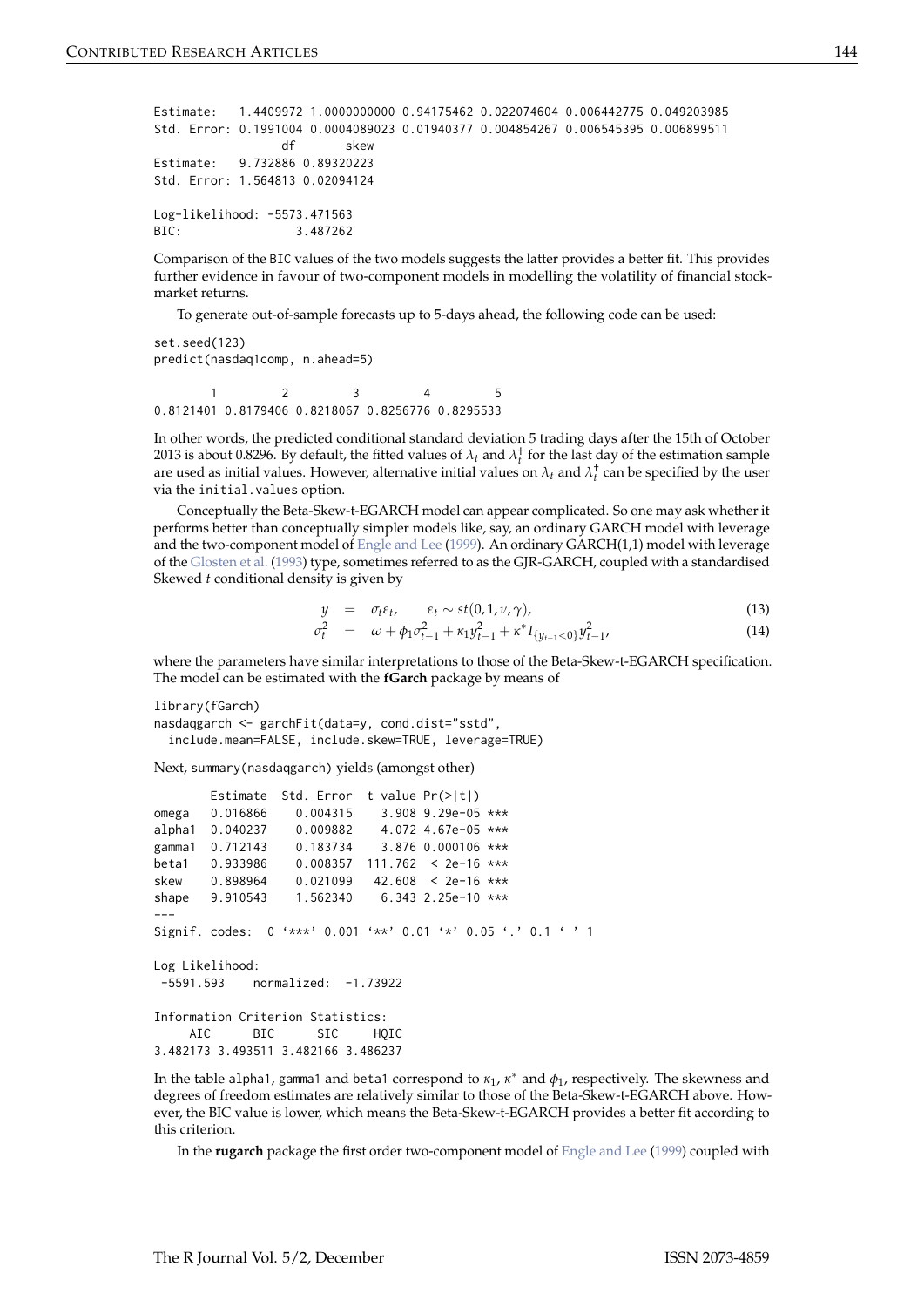```
Estimate: 1.4409972 1.0000000000 0.94175462 0.022074604 0.006442775 0.049203985
Std. Error: 0.1991004 0.0004089023 0.01940377 0.004854267 0.006545395 0.006899511
                df skew
Estimate: 9.732886 0.89320223
Std. Error: 1.564813 0.02094124
Log-likelihood: -5573.471563
BIC: 3.487262
```
Comparison of the BIC values of the two models suggests the latter provides a better fit. This provides further evidence in favour of two-component models in modelling the volatility of financial stockmarket returns.

To generate out-of-sample forecasts up to 5-days ahead, the following code can be used:

set.seed(123) predict(nasdaq1comp, n.ahead=5) 1 2 3 4 5

0.8121401 0.8179406 0.8218067 0.8256776 0.8295533

In other words, the predicted conditional standard deviation 5 trading days after the 15th of October 2013 is about 0.8296. By default, the fitted values of  $\lambda_t$  and  $\lambda_t^{\dagger}$  for the last day of the estimation sample are used as initial values. However, alternative initial values on  $\lambda_t$  and  $\lambda_t^{\dagger}$  can be specified by the user via the initial.values option.

Conceptually the Beta-Skew-t-EGARCH model can appear complicated. So one may ask whether it performs better than conceptually simpler models like, say, an ordinary GARCH model with leverage and the two-component model of [Engle and Lee](#page-9-7) [\(1999\)](#page-9-7). An ordinary GARCH(1,1) model with leverage of the [Glosten et al.](#page-9-9) [\(1993\)](#page-9-9) type, sometimes referred to as the GJR-GARCH, coupled with a standardised Skewed *t* conditional density is given by

$$
y = \sigma_t \varepsilon_t, \qquad \varepsilon_t \sim st(0, 1, \nu, \gamma), \tag{13}
$$

$$
\sigma_t^2 = \omega + \phi_1 \sigma_{t-1}^2 + \kappa_1 y_{t-1}^2 + \kappa^* I_{\{y_{t-1} < 0\}} y_{t-1}^2,\tag{14}
$$

where the parameters have similar interpretations to those of the Beta-Skew-t-EGARCH specification. The model can be estimated with the **fGarch** package by means of

```
library(fGarch)
nasdaqgarch <- garchFit(data=y, cond.dist="sstd",
  include.mean=FALSE, include.skew=TRUE, leverage=TRUE)
```
Next, summary(nasdaqgarch) yields (amongst other)

```
Estimate Std. Error t value Pr(>|t|)
omega 0.016866 0.004315 3.908 9.29e-05 ***
alpha1 0.040237 0.009882 4.072 4.67e-05 ***
gamma1  0.712143  0.183734  3.876  0.000106 ***
beta1 0.933986 0.008357 111.762 < 2e-16 ***
skew 0.898964 0.021099 42.608 < 2e-16 ***
shape 9.910543 1.562340 6.343 2.25e-10 ***
---
Signif. codes: 0 '***' 0.001 '**' 0.01 '*' 0.05 '.' 0.1 ' ' 1
Log Likelihood:
-5591.593 normalized: -1.73922
Information Criterion Statistics:
    AIC BIC SIC HQIC
3.482173 3.493511 3.482166 3.486237
```
In the table alpha1, gamma1 and beta1 correspond to *κ*<sup>1</sup> , *κ* <sup>∗</sup> and *φ*<sup>1</sup> , respectively. The skewness and degrees of freedom estimates are relatively similar to those of the Beta-Skew-t-EGARCH above. However, the BIC value is lower, which means the Beta-Skew-t-EGARCH provides a better fit according to this criterion.

In the **rugarch** package the first order two-component model of [Engle and Lee](#page-9-7) [\(1999\)](#page-9-7) coupled with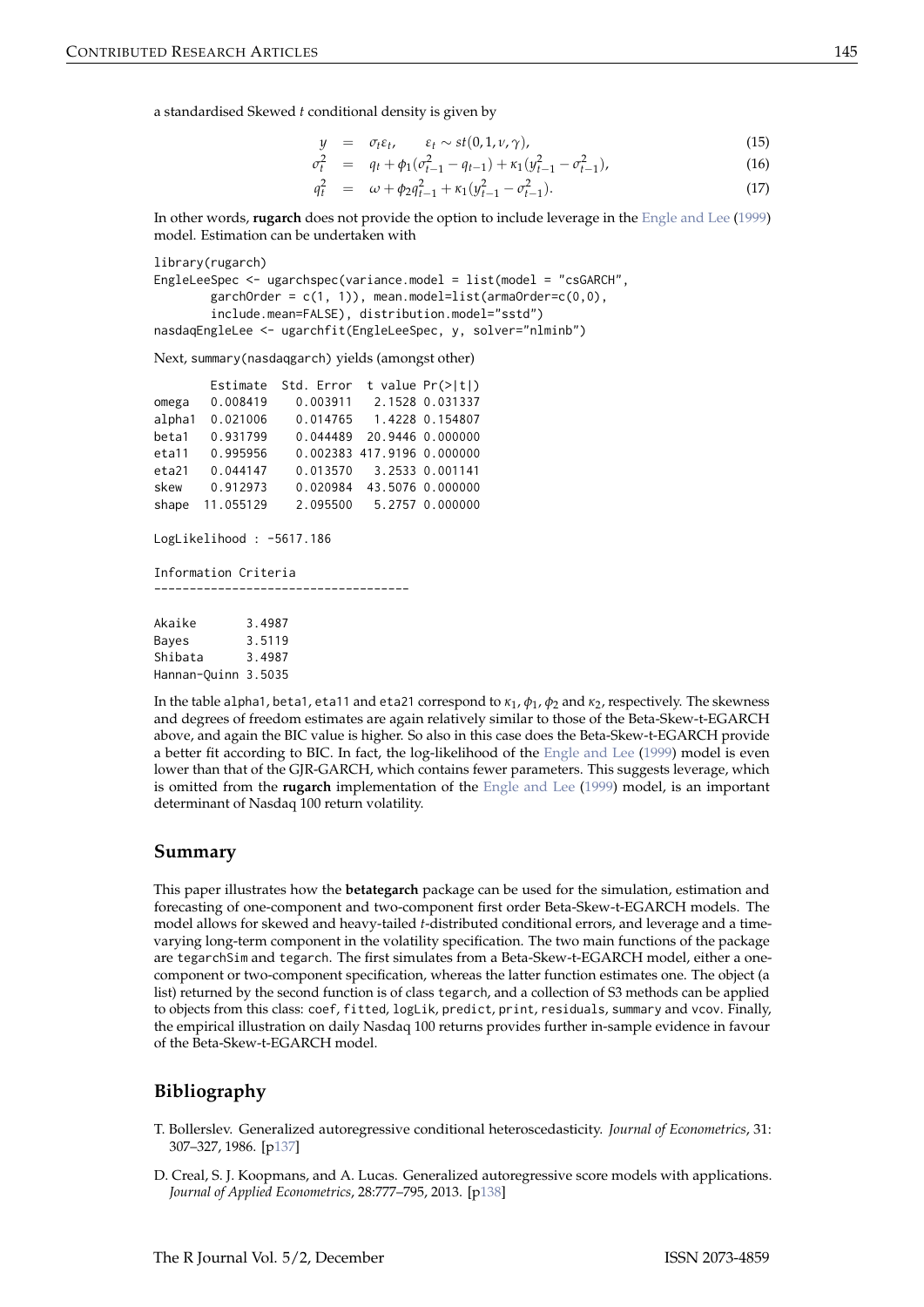<span id="page-8-2"></span>a standardised Skewed *t* conditional density is given by

$$
y = \sigma_t \varepsilon_t, \qquad \varepsilon_t \sim st(0, 1, \nu, \gamma), \tag{15}
$$

$$
\sigma_t^2 = q_t + \phi_1(\sigma_{t-1}^2 - q_{t-1}) + \kappa_1(y_{t-1}^2 - \sigma_{t-1}^2), \tag{16}
$$

$$
q_t^2 = \omega + \phi_2 q_{t-1}^2 + \kappa_1 (y_{t-1}^2 - \sigma_{t-1}^2). \tag{17}
$$

In other words, **rugarch** does not provide the option to include leverage in the [Engle and Lee](#page-9-7) [\(1999\)](#page-9-7) model. Estimation can be undertaken with

```
library(rugarch)
EngleLeeSpec <- ugarchspec(variance.model = list(model = "csGARCH",
       garchOrder = c(1, 1), mean.model=list(armaOrder=c(0, 0),
        include.mean=FALSE), distribution.model="sstd")
nasdaqEngleLee <- ugarchfit(EngleLeeSpec, y, solver="nlminb")
```
Next, summary(nasdaqgarch) yields (amongst other)

|        | Estimate  | Std. Error |                            | t value $Pr(>\vert t \vert)$ |
|--------|-----------|------------|----------------------------|------------------------------|
| omega  | 0.008419  | 0.003911   |                            | 2.1528 0.031337              |
| alpha1 | 0.021006  | 0.014765   |                            | 1.4228 0.154807              |
| beta1  | 0.931799  | 0.044489   |                            | 20.9446 0.000000             |
| eta11  | 0.995956  |            | 0.002383 417.9196 0.000000 |                              |
| eta21  | 0.044147  | 0.013570   |                            | 3.2533 0.001141              |
| skew   | 0.912973  | 0.020984   |                            | 43.5076 0.000000             |
| shape  | 11.055129 | 2.095500   |                            | 5.2757 0.000000              |

LogLikelihood : -5617.186

Information Criteria

------------------------------------

| Akaike              | 3.4987 |
|---------------------|--------|
| Baves               | 3.5119 |
| Shibata             | 3.4987 |
| Hannan-Quinn 3.5035 |        |

In the table alpha1, beta1, eta11 and eta21 correspond to *κ*<sup>1</sup> , *φ*<sup>1</sup> , *φ*<sup>2</sup> and *κ*2, respectively. The skewness and degrees of freedom estimates are again relatively similar to those of the Beta-Skew-t-EGARCH above, and again the BIC value is higher. So also in this case does the Beta-Skew-t-EGARCH provide a better fit according to BIC. In fact, the log-likelihood of the [Engle and Lee](#page-9-7) [\(1999\)](#page-9-7) model is even lower than that of the GJR-GARCH, which contains fewer parameters. This suggests leverage, which is omitted from the **rugarch** implementation of the [Engle and Lee](#page-9-7) [\(1999\)](#page-9-7) model, is an important determinant of Nasdaq 100 return volatility.

#### **Summary**

This paper illustrates how the **betategarch** package can be used for the simulation, estimation and forecasting of one-component and two-component first order Beta-Skew-t-EGARCH models. The model allows for skewed and heavy-tailed *t*-distributed conditional errors, and leverage and a timevarying long-term component in the volatility specification. The two main functions of the package are tegarchSim and tegarch. The first simulates from a Beta-Skew-t-EGARCH model, either a onecomponent or two-component specification, whereas the latter function estimates one. The object (a list) returned by the second function is of class tegarch, and a collection of S3 methods can be applied to objects from this class: coef, fitted, logLik, predict, print, residuals, summary and vcov. Finally, the empirical illustration on daily Nasdaq 100 returns provides further in-sample evidence in favour of the Beta-Skew-t-EGARCH model.

## **Bibliography**

- <span id="page-8-0"></span>T. Bollerslev. Generalized autoregressive conditional heteroscedasticity. *Journal of Econometrics*, 31: 307–327, 1986. [[p137\]](#page-0-0)
- <span id="page-8-1"></span>D. Creal, S. J. Koopmans, and A. Lucas. Generalized autoregressive score models with applications. *Journal of Applied Econometrics*, 28:777–795, 2013. [[p138\]](#page-1-2)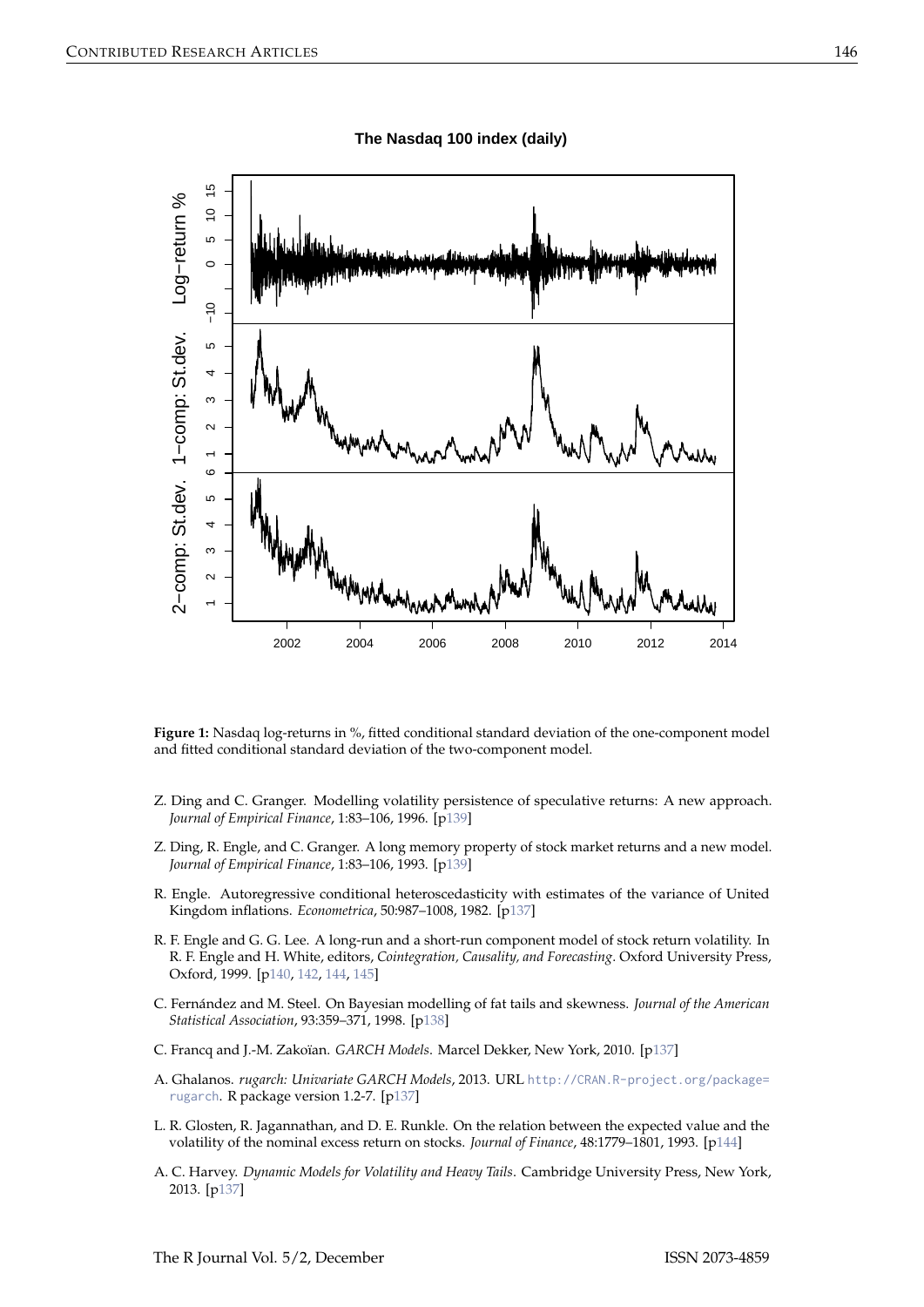<span id="page-9-8"></span>

**Figure 1:** Nasdaq log-returns in %, fitted conditional standard deviation of the one-component model and fitted conditional standard deviation of the two-component model.

- <span id="page-9-6"></span>Z. Ding and C. Granger. Modelling volatility persistence of speculative returns: A new approach. *Journal of Empirical Finance*, 1:83–106, 1996. [[p139\]](#page-2-1)
- <span id="page-9-5"></span>Z. Ding, R. Engle, and C. Granger. A long memory property of stock market returns and a new model. *Journal of Empirical Finance*, 1:83–106, 1993. [[p139\]](#page-2-1)
- <span id="page-9-0"></span>R. Engle. Autoregressive conditional heteroscedasticity with estimates of the variance of United Kingdom inflations. *Econometrica*, 50:987–1008, 1982. [[p137\]](#page-0-0)
- <span id="page-9-7"></span>R. F. Engle and G. G. Lee. A long-run and a short-run component model of stock return volatility. In R. F. Engle and H. White, editors, *Cointegration, Causality, and Forecasting*. Oxford University Press, Oxford, 1999. [[p140,](#page-3-1) [142,](#page-5-0) [144,](#page-7-0) [145\]](#page-8-2)
- <span id="page-9-4"></span>C. Fernández and M. Steel. On Bayesian modelling of fat tails and skewness. *Journal of the American Statistical Association*, 93:359–371, 1998. [[p138\]](#page-1-2)
- <span id="page-9-1"></span>C. Francq and J.-M. Zakoïan. *GARCH Models*. Marcel Dekker, New York, 2010. [[p137\]](#page-0-0)
- <span id="page-9-2"></span>A. Ghalanos. *rugarch: Univariate GARCH Models*, 2013. URL [http://CRAN.R-project.org/package=](http://CRAN.R-project.org/package=rugarch) [rugarch](http://CRAN.R-project.org/package=rugarch). R package version 1.2-7. [[p137\]](#page-0-0)
- <span id="page-9-9"></span>L. R. Glosten, R. Jagannathan, and D. E. Runkle. On the relation between the expected value and the volatility of the nominal excess return on stocks. *Journal of Finance*, 48:1779–1801, 1993. [[p144\]](#page-7-0)
- <span id="page-9-3"></span>A. C. Harvey. *Dynamic Models for Volatility and Heavy Tails*. Cambridge University Press, New York, 2013. [[p137\]](#page-0-0)